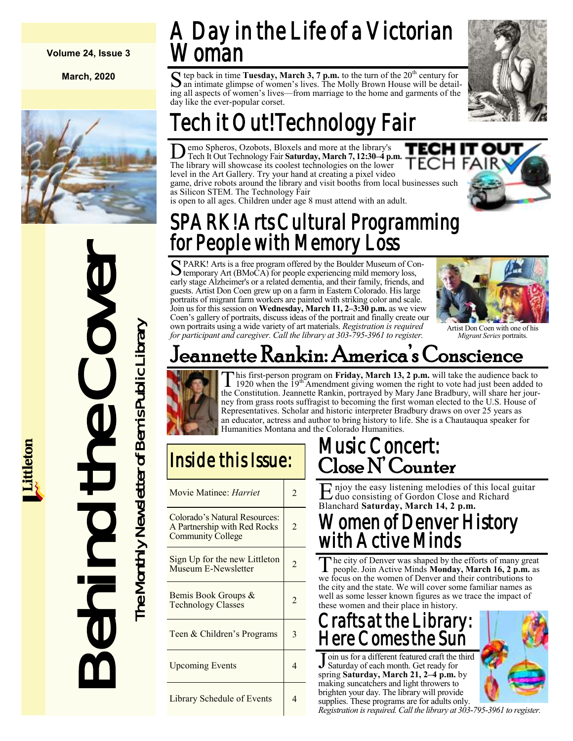#### **Volume 24, Issue 3**

**March, 2020**



Behind the Cover The Monthly Newsletter of Bemis Public Library he Monthly Newsletter of Bemis Public Library  $\bigcup$ 

## A Day in the Life of a Victorian /oman

S tep back in time **Tuesday, March 3, 7 p.m.** to the turn of the 20<sup>th</sup> century for an intimate glimpse of women's lives. The Molly Brown House will be detailan intimate glimpse of women's lives. The Molly Brown House will be detailing all aspects of women's lives—from marriage to the home and garments of the day like the ever-popular corset.



# Tech it Out! Technology Fair

**D** emo Spheros, Ozobots, Bloxels and more at the library's Tech It Out Technology Fair **Saturday, March 7, 12:30–4 p.r**<br>The library will showcase its coolest technologies on the lower emo Spheros, Ozobots, Bloxels and more at the library's Tech It Out Technology Fair **Saturday, March 7, 12:30–4 p.m.** level in the Art Gallery. Try your hand at creating a pixel video game, drive robots around the library and visit booths from local businesses such as Silicon STEM. The Technology Fair

is open to all ages. Children under age 8 must attend with an adult.

## SPARK! Arts Cultural Programming for People with Memory Loss

S PARK! Arts is a free program offered by the Boulder Museum of Contemporary Art (BMoCA) for people experiencing mild memory loss, temporary Art (BMoCA) for people experiencing mild memory loss, early stage Alzheimer's or a related dementia, and their family, friends, and guests. Artist Don Coen grew up on a farm in Eastern Colorado. His large portraits of migrant farm workers are painted with striking color and scale. Join us for this session on **Wednesday, March 11, 2–3:30 p.m.** as we view Coen's gallery of portraits, discuss ideas of the portrait and finally create our own portraits using a wide variety of art materials. *Registration is required for participant and caregiver. Call the library at 303-795-3961 to register.*



Artist Don Coen with one of his *Migrant Series* portraits.

## Jeannette Rankin: America's Conscience



This first-person program on **Friday, March 13, 2 p.m.** will take the audience back to 1920 when the  $19^{th}$  Amendment giving women the right to vote had just been added to the Constitution. Jeannette Rankin, portrayed by his first-person program on **Friday, March 13, 2 p.m.** will take the audience back to 1920 when the 19th Amendment giving women the right to vote had just been added to ney from grass roots suffragist to becoming the first woman elected to the U.S. House of Representatives. Scholar and historic interpreter Bradbury draws on over 25 years as an educator, actress and author to bring history to life. She is a Chautauqua speaker for Humanities Montana and the Colorado Humanities.

## Inside this Issue:

| Movie Matinee: <i>Harriet</i>                                                             | $\overline{c}$ |
|-------------------------------------------------------------------------------------------|----------------|
| Colorado's Natural Resources:<br>A Partnership with Red Rocks<br><b>Community College</b> | $\overline{2}$ |
| Sign Up for the new Littleton<br>Museum E-Newsletter                                      | 2              |
| Bemis Book Groups &<br><b>Technology Classes</b>                                          | $\overline{2}$ |
| Teen & Children's Programs                                                                | 3              |
| <b>Upcoming Events</b>                                                                    | 4              |
| <b>Library Schedule of Events</b>                                                         | 4              |

### Music Concert: Close N' Counter

Enjoy the easy listening melodies of this local guitar<br>duo consisting of Gordon Close and Richard duo consisting of Gordon Close and Richard Blanchard **Saturday, March 14, 2 p.m.**

#### Women of Denver History with Active Minds

The city of Denver was shaped by the efforts of many greaple. Join Active Minds **Monday**, **March 16, 2 p.m.** a we focus on the women of Denver and their contributions to he city of Denver was shaped by the efforts of many great people. Join Active Minds **Monday, March 16, 2 p.m.** as the city and the state. We will cover some familiar names as well as some lesser known figures as we trace the impact of these women and their place in history.

### Crafts at the Library: Here Comes the Sun

J Saturday of each month. Get ready for oin us for a different featured craft the third spring **Saturday, March 21, 2–4 p.m.** by making suncatchers and light throwers to brighten your day. The library will provide supplies. These programs are for adults only.



*Registration is required. Call the library at 303-795-3961 to register.*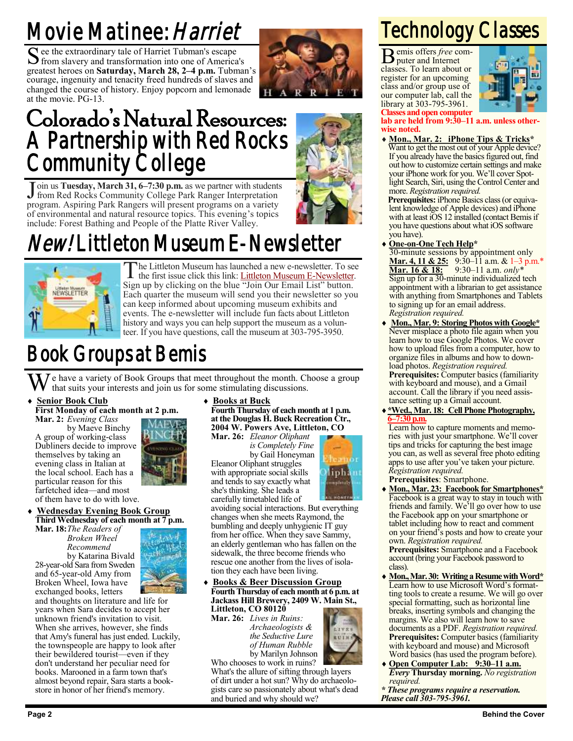## Movie Matinee: Harriet

S ee the extraordinary tale of Harriet Tubman's escape<br>
S from slavery and transformation into one of America from slavery and transformation into one of America's greatest heroes on **Saturday, March 28, 2–4 p.m.** Tubman's courage, ingenuity and tenacity freed hundreds of slaves and changed the course of history. Enjoy popcorn and lemonade at the movie. PG-13.



## Colorado's Natural Resources: A Partnership with Red Rocks Community College

Join us Tuesday, March 31, 6–7:30 p.m. as we partner with students<br>from Red Rocks Community College Park Ranger Interpretation from Red Rocks Community College Park Ranger Interpretation program. Aspiring Park Rangers will present programs on a variety of environmental and natural resource topics. This evening's topics include: Forest Bathing and People of the Platte River Valley.

## *New*! Littleton Museum E-Newsletter



The Littleton Museum has launched a new e-newsletter. To see<br>the first issue click this link: Littleton Museum E-Newsletter. he Littleton Museum has launched a new e-newsletter. To see Sign up by clicking on the blue "Join Our Email List" button. Each quarter the museum will send you their newsletter so you can keep informed about upcoming museum exhibits and events. The e-newsletter will include fun facts about Littleton history and ways you can help support the museum as a volunteer. If you have questions, call the museum at 303-795-3950.

## Book Groups at Bemis

e have a variety of Book Groups that meet throughout the month. Choose a group that suits your interests and join us for some stimulating discussions.

#### **Senior Book Club**

**First Monday of each month at 2 p.m.**

**Mar. 2:** *Evening Class* by Maeve Binchy A group of working-class Dubliners decide to improve themselves by taking an evening class in Italian at the local school. Each has a particular reason for this farfetched idea—and most of them have to do with love.

#### **Wednesday Evening Book Group**

**Third Wednesday of each month at 7 p.m. Mar. 18:***The Readers of Broken Wheel Recommend* by Katarina Bivald 28-year-old Sara from Sweden and 65-year-old Amy from Broken Wheel, Iowa have



exchanged books, letters and thoughts on literature and life for years when Sara decides to accept her unknown friend's invitation to visit. When she arrives, however, she finds that Amy's funeral has just ended. Luckily, the townspeople are happy to look after their bewildered tourist—even if they don't understand her peculiar need for books. Marooned in a farm town that's almost beyond repair, Sara starts a bookstore in honor of her friend's memory.

#### **Books at Buck**

**Fourth Thursday of each month at 1 p.m. at the Douglas H. Buck Recreation Ctr., 2004 W. Powers Ave, Littleton, CO**

**Mar. 26:** *Eleanor Oliphant is Completely Fine* by Gail Honeyman Eleanor Oliphant struggles with appropriate social skills and tends to say exactly what she's thinking. She leads a carefully timetabled life of



avoiding social interactions. But everything changes when she meets Raymond, the bumbling and deeply unhygienic IT guy from her office. When they save Sammy, an elderly gentleman who has fallen on the sidewalk, the three become friends who rescue one another from the lives of isolation they each have been living.

#### **Books & Beer Discussion Group Fourth Thursday of each month at 6 p.m. at Jackass Hill Brewery, 2409 W. Main St., Littleton, CO 80120**

**Mar. 26:** *Lives in Ruins: Archaeologists & the Seductive Lure of Human Rubble* by Marilyn Johnson



Who chooses to work in ruins? What's the allure of sifting through layers of dirt under a hot sun? Why do archaeologists care so passionately about what's dead and buried and why should we?

# Technology Classes

B emis offers *free* computer and Internet classes. To learn about or register for an upcoming class and/or group use of our computer lab, call the library at 303-795-3961.



**Classes and open computer**

**lab are held from 9:30–11 a.m. unless otherwise noted.**

- **Mon., Mar. 2: iPhone Tips & Tricks\***
	- Want to get the most out of your Apple device? If you already have the basics figured out, find out how to customize certain settings and make your iPhone work for you. We'll cover Spotlight Search, Siri, using the Control Center and more. *Registration required.*

**Prerequisites:** iPhone Basics class (or equivalent knowledge of Apple devices) and iPhone with at least iOS 12 installed (contact Bemis if you have questions about what iOS software you have).

**One-on-One Tech Help\***

30-minute sessions by appointment only **Mar. 4, 11 & 25:** 9:30–11 a.m. & 1–3 p.m.\* **Mar. 16 & 18:** 9:30–11 a.m. *only\** Sign up for a 30-minute individualized tech appointment with a librarian to get assistance with anything from Smartphones and Tablets to signing up for an email address. *Registration required.*

- **Mon., Mar. 9: Storing Photos with Google\*** Never misplace a photo file again when you learn how to use Google Photos. We cover how to upload files from a computer, how to organize files in albums and how to download photos. *Registration required.* **Prerequisites:** Computer basics (familiarity with keyboard and mouse), and a Gmail account. Call the library if you need assistance setting up a Gmail account.
- **\*Wed., Mar. 18: Cell Phone Photography, 6–7:30 p.m.**

Learn how to capture moments and memories with just your smartphone. We'll cover tips and tricks for capturing the best image you can, as well as several free photo editing apps to use after you've taken your picture. *Registration required.* **Prerequisites**: Smartphone.

 **Mon., Mar. 23: Facebook for Smartphones\*** Facebook is a great way to stay in touch with friends and family. We'll go over how to use the Facebook app on your smartphone or tablet including how to react and comment on your friend's posts and how to create your own. *Registration required.* **Prerequisites:** Smartphone and a Facebook

account (bring your Facebook password to class).

- **Mon., Mar. 30: Writing a Resume with Word\*** Learn how to use Microsoft Word's formatting tools to create a resume. We will go over special formatting, such as horizontal line breaks, inserting symbols and changing the margins. We also will learn how to save documents as a PDF. *Registration required.* **Prerequisites:** Computer basics (familiarity with keyboard and mouse) and Microsoft Word basics (has used the program before).
- **Open Computer Lab: 9:30–11 a.m.** *Every* **Thursday morning.** *No registration required.*
- *\* These programs require a reservation. Please call 303-795-3961.*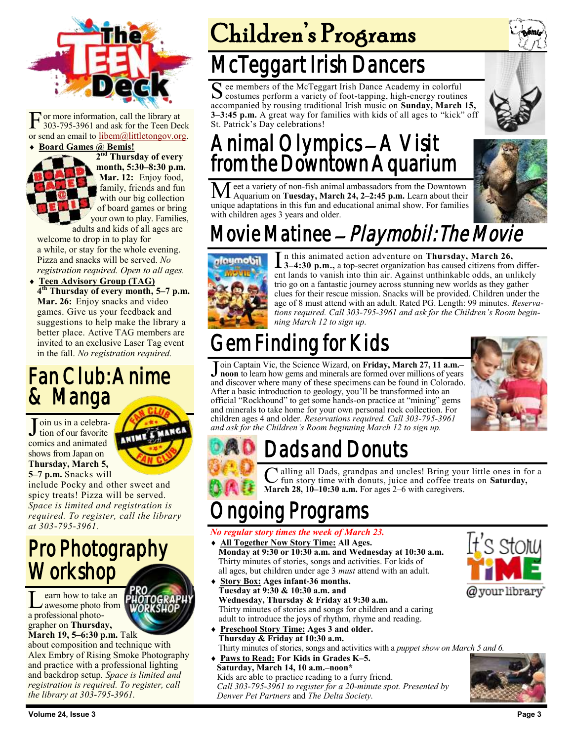

F or more information, call the library at 303-795-3961 and ask for the Teen Deck or send an email to [libem@littletongov.org.](mailto:libem@littletongov.org.)

#### **Board Games @ Bemis!**



**2 nd Thursday of every month, 5:30–8:30 p.m. Mar. 12:** Enjoy food, family, friends and fun with our big collection of board games or bring your own to play. Families,

adults and kids of all ages are welcome to drop in to play for a while, or stay for the whole evening. Pizza and snacks will be served. *No registration required. Open to all ages.*

 **Teen Advisory Group (TAG) 4 th Thursday of every month, 5–7 p.m. Mar. 26:** Enjoy snacks and video games. Give us your feedback and suggestions to help make the library a better place. Active TAG members are invited to an exclusive Laser Tag event in the fall. *No registration required.*

### Fan Club: Anime & Manga

Join us in a celebra-<br>tion of our favorite tion of our favorite comics and animated shows from Japan on **Thursday, March 5, 5–7 p.m.** Snacks will

MANG ANIME

include Pocky and other sweet and spicy treats! Pizza will be served. *Space is limited and registration is required. To register, call the library at 303-795-3961.*

## Pro Photography **Workshop**

L earn how to take an awesome photo from earn how to take an a professional photographer on **Thursday, March 19, 5–6:30 p.m.** Talk

about composition and technique with Alex Embry of Rising Smoke Photography and practice with a professional lighting and backdrop setup*. Space is limited and registration is required. To register, call the library at 303-795-3961.*



## McTeggart Irish Dancers

S ee members of the McTeggart Irish Dance Academy in colorful<br>costumes perform a variety of foot-tapping, high-energy routine costumes perform a variety of foot-tapping, high-energy routines accompanied by rousing traditional Irish music on **Sunday, March 15, 3–3:45 p.m.** A great way for families with kids of all ages to "kick" off St. Patrick's Day celebrations!

## Animal Olympics – A Visit from the Downtown Aquarium

Meet a variety of non-fish animal ambassadors from the Downtown Aquarium on **Tuesday, March 24, 2–2:45 p.m.** Learn about their unique adaptations in this fun and educational animal show. For families with children ages 3 years and older.



## Movie Matinee - Playmobil: The Movie



In this animated action adventure on Thursday, March 26,<br>3–4:30 p.m., a top-secret organization has caused citizens from differ<br>ent lands to vanish into thin air. Against unthinkable odds, an unlikely n this animated action adventure on **Thursday, March 26, 3–4:30 p.m.,** a top-secret organization has caused citizens from differtrio go on a fantastic journey across stunning new worlds as they gather clues for their rescue mission. Snacks will be provided. Children under the age of 8 must attend with an adult. Rated PG. Length: 99 minutes. *Reservations required. Call 303-795-3961 and ask for the Children's Room beginning March 12 to sign up.*

## Gem Finding for Kids

Join Captain Vic, the Science Wizard, on Friday, March 27, 11 a.m.-<br>**J** noon to learn how gems and minerals are formed over millions of years **noon** to learn how gems and minerals are formed over millions of years and discover where many of these specimens can be found in Colorado. After a basic introduction to geology, you'll be transformed into an official "Rockhound" to get some hands-on practice at "mining" gems and minerals to take home for your own personal rock collection. For children ages 4 and older. *Reservations required. Call 303-795-3961 and ask for the Children's Room beginning March 12 to sign up.*





C alling all Dads, grandpas and uncles! Bring you<br>
fun story time with donuts, juice and coffee tree<br> **March 28, 10–10:30 a.m.** For ages 2–6 with caregivers. alling all Dads, grandpas and uncles! Bring your little ones in for a fun story time with donuts, juice and coffee treats on **Saturday,** 

## ng Programs

#### *No regular story times the week of March 23.*

- **All Together Now Story Time: All Ages. Monday at 9:30 or 10:30 a.m. and Wednesday at 10:30 a.m.** Thirty minutes of stories, songs and activities. For kids of all ages, but children under age 3 *must* attend with an adult.
- **Story Box: Ages infant-36 months. Tuesday at 9:30 & 10:30 a.m. and Wednesday, Thursday & Friday at 9:30 a.m.** Thirty minutes of stories and songs for children and a caring adult to introduce the joys of rhythm, rhyme and reading.
- **Preschool Story Time: Ages 3 and older. Thursday & Friday at 10:30 a.m.** Thirty minutes of stories, songs and activities with a *puppet show on March 5 and 6.*
- **Paws to Read: For Kids in Grades K–5. Saturday, March 14, 10 a.m.–noon\*** Kids are able to practice reading to a furry friend. *Call 303-795-3961 to register for a 20-minute spot. Presented by Denver Pet Partners* and *The Delta Society.*